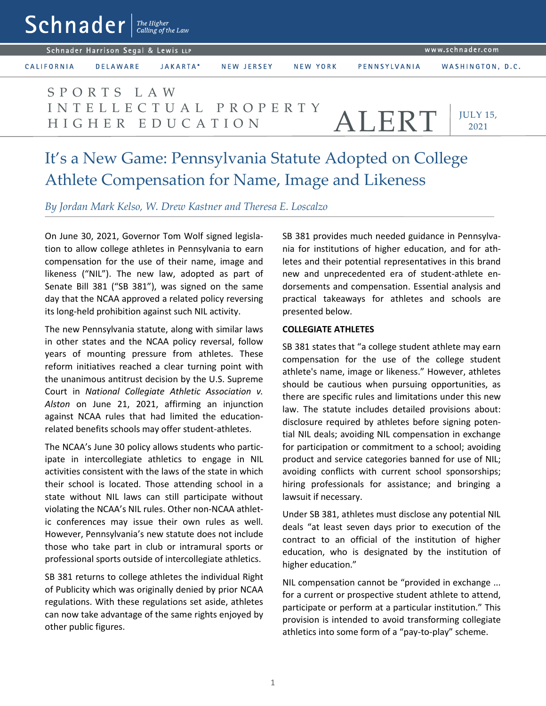| $Schnader$   The Higher                                 |                   |                                |          |                       |          |              |                         |  |
|---------------------------------------------------------|-------------------|--------------------------------|----------|-----------------------|----------|--------------|-------------------------|--|
| www.schnader.com<br>Schnader Harrison Segal & Lewis LLP |                   |                                |          |                       |          |              |                         |  |
|                                                         | <b>CALIFORNIA</b> | <b>DELAWARE</b>                | JAKARTA* | <b>NEW JERSEY</b>     | NEW YORK | PENNSYLVANIA | WASHINGTON, D.C.        |  |
|                                                         |                   | SPORTS LAW<br>HIGHER EDUCATION |          | INTELLECTUAL PROPERTY |          | ALERT        | <b>JULY 15,</b><br>2021 |  |
|                                                         |                   |                                |          |                       |          |              |                         |  |

# It's a New Game: Pennsylvania Statute Adopted on College Athlete Compensation for Name, Image and Likeness

*By Jordan Mark Kelso, W. Drew Kastner and Theresa E. Loscalzo*

On June 30, 2021, Governor Tom Wolf signed legislation to allow college athletes in Pennsylvania to earn compensation for the use of their name, image and likeness ("NIL"). The new law, adopted as part of Senate Bill 381 ("SB 381"), was signed on the same day that the NCAA approved a related policy reversing its long-held prohibition against such NIL activity.

The new Pennsylvania statute, along with similar laws in other states and the NCAA policy reversal, follow years of mounting pressure from athletes. These reform initiatives reached a clear turning point with the unanimous antitrust decision by the U.S. Supreme Court in *National Collegiate Athletic Association v. Alston* on June 21, 2021, affirming an injunction against NCAA rules that had limited the educationrelated benefits schools may offer student-athletes.

The NCAA's June 30 policy allows students who participate in intercollegiate athletics to engage in NIL activities consistent with the laws of the state in which their school is located. Those attending school in a state without NIL laws can still participate without violating the NCAA's NIL rules. Other non-NCAA athletic conferences may issue their own rules as well. However, Pennsylvania's new statute does not include those who take part in club or intramural sports or professional sports outside of intercollegiate athletics.

SB 381 returns to college athletes the individual Right of Publicity which was originally denied by prior NCAA regulations. With these regulations set aside, athletes can now take advantage of the same rights enjoyed by other public figures.

SB 381 provides much needed guidance in Pennsylvania for institutions of higher education, and for athletes and their potential representatives in this brand new and unprecedented era of student-athlete endorsements and compensation. Essential analysis and practical takeaways for athletes and schools are presented below.

#### **COLLEGIATE ATHLETES**

SB 381 states that "a college student athlete may earn compensation for the use of the college student athlete's name, image or likeness." However, athletes should be cautious when pursuing opportunities, as there are specific rules and limitations under this new law. The statute includes detailed provisions about: disclosure required by athletes before signing potential NIL deals; avoiding NIL compensation in exchange for participation or commitment to a school; avoiding product and service categories banned for use of NIL; avoiding conflicts with current school sponsorships; hiring professionals for assistance; and bringing a lawsuit if necessary.

Under SB 381, athletes must disclose any potential NIL deals "at least seven days prior to execution of the contract to an official of the institution of higher education, who is designated by the institution of higher education."

NIL compensation cannot be "provided in exchange ... for a current or prospective student athlete to attend, participate or perform at a particular institution." This provision is intended to avoid transforming collegiate athletics into some form of a "pay-to-play" scheme.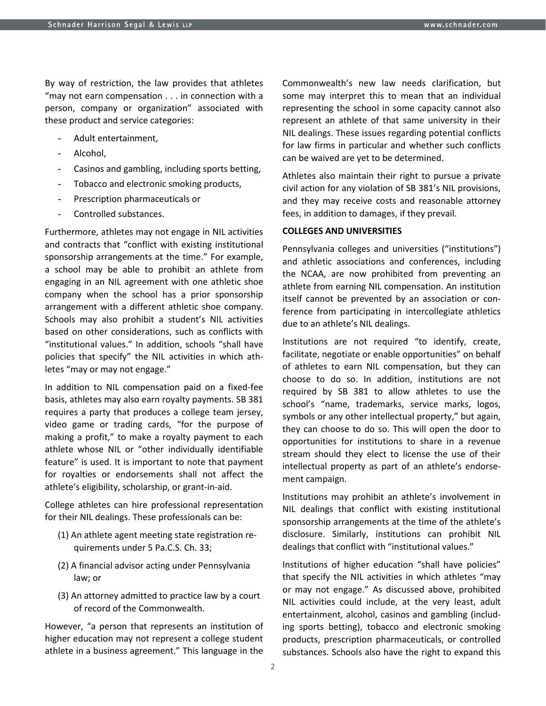By way of restriction, the law provides that athletes "may not earn compensation . . . in connection with a person, company or organization" associated with these product and service categories:

- Adult entertainment,
- Alcohol.
- Casinos and gambling, including sports betting,
- Tobacco and electronic smoking products,
- Prescription pharmaceuticals or
- Controlled substances.

Furthermore, athletes may not engage in NIL activities and contracts that "conflict with existing institutional sponsorship arrangements at the time." For example, a school may be able to prohibit an athlete from engaging in an NIL agreement with one athletic shoe company when the school has a prior sponsorship arrangement with a different athletic shoe company. Schools may also prohibit a student's NIL activities based on other considerations, such as conflicts with "institutional values." In addition, schools "shall have policies that specify" the NIL activities in which athletes "may or may not engage."

In addition to NIL compensation paid on a fixed-fee basis, athletes may also earn royalty payments. SB 381 requires a party that produces a college team jersey, video game or trading cards, "for the purpose of making a profit," to make a royalty payment to each athlete whose NIL or "other individually identifiable feature" is used. It is important to note that payment for royalties or endorsements shall not affect the athlete's eligibility, scholarship, or grant-in-aid.

College athletes can hire professional representation for their NIL dealings. These professionals can be:

- (1) An athlete agent meeting state registration requirements under 5 Pa.C.S. Ch. 33;
- (2) A financial advisor acting under Pennsylvania law; or
- (3) An attorney admitted to practice law by a court of record of the Commonwealth.

However, "a person that represents an institution of higher education may not represent a college student athlete in a business agreement." This language in the

Commonwealth's new law needs clarification, but some may interpret this to mean that an individual representing the school in some capacity cannot also represent an athlete of that same university in their NIL dealings. These issues regarding potential conflicts for law firms in particular and whether such conflicts can be waived are yet to be determined.

Athletes also maintain their right to pursue a private civil action for any violation of SB 381's NIL provisions, and they may receive costs and reasonable attorney fees, in addition to damages, if they prevail.

#### **COLLEGES AND UNIVERSITIES**

Pennsylvania colleges and universities ("institutions") and athletic associations and conferences, including the NCAA, are now prohibited from preventing an athlete from earning NIL compensation. An institution itself cannot be prevented by an association or conference from participating in intercollegiate athletics due to an athlete's NIL dealings.

Institutions are not required "to identify, create, facilitate, negotiate or enable opportunities" on behalf of athletes to earn NIL compensation, but they can choose to do so. In addition, institutions are not required by SB 381 to allow athletes to use the school's "name, trademarks, service marks, logos, symbols or any other intellectual property," but again, they can choose to do so. This will open the door to opportunities for institutions to share in a revenue stream should they elect to license the use of their intellectual property as part of an athlete's endorsement campaign.

Institutions may prohibit an athlete's involvement in NIL dealings that conflict with existing institutional sponsorship arrangements at the time of the athlete's disclosure. Similarly, institutions can prohibit NIL dealings that conflict with "institutional values."

Institutions of higher education "shall have policies" that specify the NIL activities in which athletes "may or may not engage." As discussed above, prohibited NIL activities could include, at the very least, adult entertainment, alcohol, casinos and gambling (including sports betting), tobacco and electronic smoking products, prescription pharmaceuticals, or controlled substances. Schools also have the right to expand this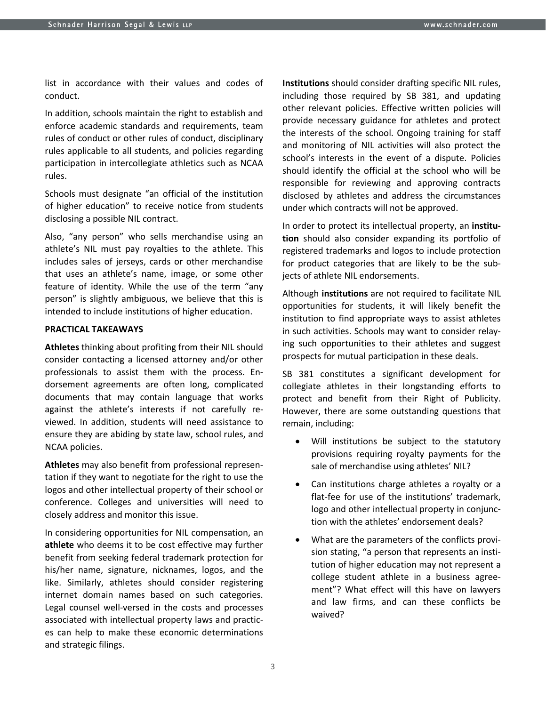list in accordance with their values and codes of conduct.

In addition, schools maintain the right to establish and enforce academic standards and requirements, team rules of conduct or other rules of conduct, disciplinary rules applicable to all students, and policies regarding participation in intercollegiate athletics such as NCAA rules.

Schools must designate "an official of the institution of higher education" to receive notice from students disclosing a possible NIL contract.

Also, "any person" who sells merchandise using an athlete's NIL must pay royalties to the athlete. This includes sales of jerseys, cards or other merchandise that uses an athlete's name, image, or some other feature of identity. While the use of the term "any person" is slightly ambiguous, we believe that this is intended to include institutions of higher education.

#### **PRACTICAL TAKEAWAYS**

**Athletes** thinking about profiting from their NIL should consider contacting a licensed attorney and/or other professionals to assist them with the process. Endorsement agreements are often long, complicated documents that may contain language that works against the athlete's interests if not carefully reviewed. In addition, students will need assistance to ensure they are abiding by state law, school rules, and NCAA policies.

**Athletes** may also benefit from professional representation if they want to negotiate for the right to use the logos and other intellectual property of their school or conference. Colleges and universities will need to closely address and monitor this issue.

In considering opportunities for NIL compensation, an **athlete** who deems it to be cost effective may further benefit from seeking federal trademark protection for his/her name, signature, nicknames, logos, and the like. Similarly, athletes should consider registering internet domain names based on such categories. Legal counsel well-versed in the costs and processes associated with intellectual property laws and practices can help to make these economic determinations and strategic filings.

**Institutions** should consider drafting specific NIL rules, including those required by SB 381, and updating other relevant policies. Effective written policies will provide necessary guidance for athletes and protect the interests of the school. Ongoing training for staff and monitoring of NIL activities will also protect the school's interests in the event of a dispute. Policies should identify the official at the school who will be responsible for reviewing and approving contracts disclosed by athletes and address the circumstances under which contracts will not be approved.

In order to protect its intellectual property, an **institution** should also consider expanding its portfolio of registered trademarks and logos to include protection for product categories that are likely to be the subjects of athlete NIL endorsements.

Although **institutions** are not required to facilitate NIL opportunities for students, it will likely benefit the institution to find appropriate ways to assist athletes in such activities. Schools may want to consider relaying such opportunities to their athletes and suggest prospects for mutual participation in these deals.

SB 381 constitutes a significant development for collegiate athletes in their longstanding efforts to protect and benefit from their Right of Publicity. However, there are some outstanding questions that remain, including:

- Will institutions be subject to the statutory provisions requiring royalty payments for the sale of merchandise using athletes' NIL?
- Can institutions charge athletes a royalty or a flat-fee for use of the institutions' trademark, logo and other intellectual property in conjunction with the athletes' endorsement deals?
- What are the parameters of the conflicts provision stating, "a person that represents an institution of higher education may not represent a college student athlete in a business agreement"? What effect will this have on lawyers and law firms, and can these conflicts be waived?